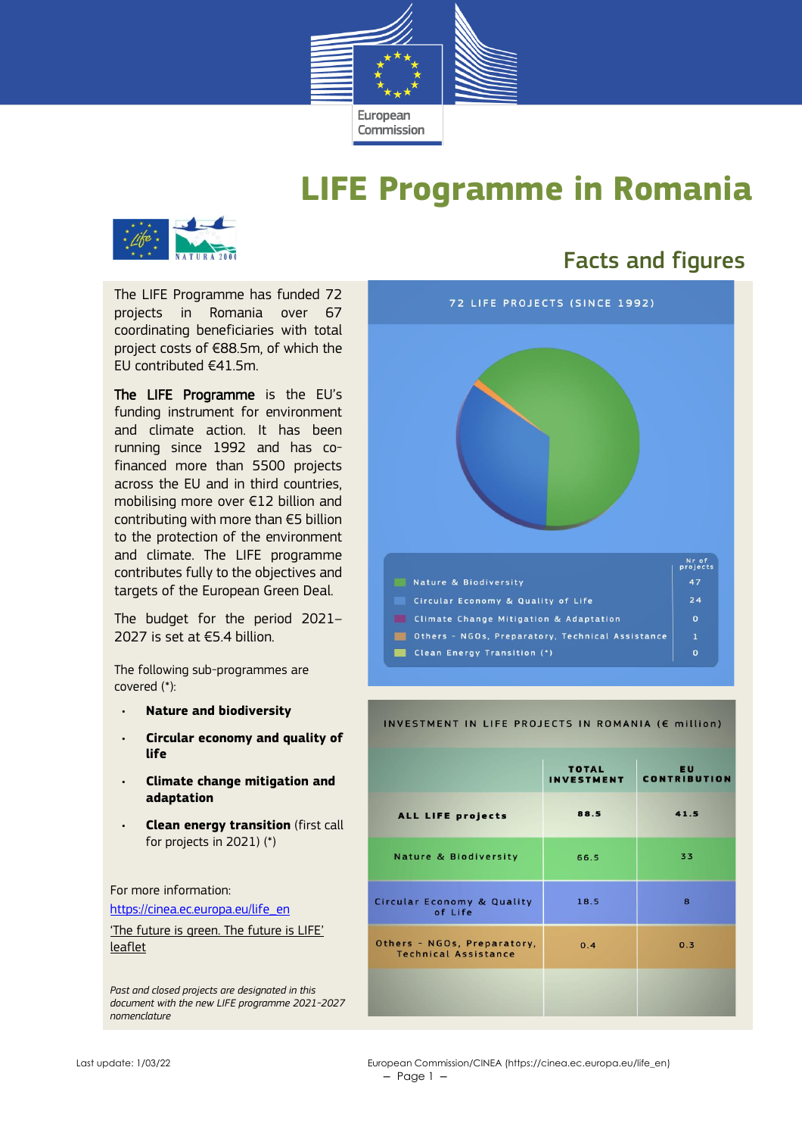

## **LIFE Programme in Romania**



The LIFE Programme has funded 72 projects in Romania over 67 coordinating beneficiaries with total project costs of €88.5m, of which the EU contributed €41.5m.

The LIFE Programme is the EU's funding instrument for environment and climate action. It has been running since 1992 and has cofinanced more than 5500 projects across the EU and in third countries, mobilising more over €12 billion and contributing with more than €5 billion to the protection of the environment and climate. The LIFE programme contributes fully to the objectives and targets of the European Green Deal.

The budget for the period 2021– 2027 is set at €5.4 billion.

The following sub-programmes are covered (\*):

- **Nature and biodiversity**
- **Circular economy and quality of life**
- **Climate change mitigation and adaptation**
- **Clean energy transition** (first call for projects in 2021) (\*)

For more information:

[https://cinea.ec.europa.eu/life\\_en](https://cinea.ec.europa.eu/life_en)

['The future is green. The future is LIFE'](https://cinea.ec.europa.eu/publications/future-green-future-life-leaflet_en)  [leaflet](https://cinea.ec.europa.eu/publications/future-green-future-life-leaflet_en)

*Past and closed projects are designated in this document with the new LIFE programme 2021-2027 nomenclature*

### Facts and figures



#### INVESTMENT IN LIFE PROJECTS IN ROMANIA (E million)

|                                                            | <b>TOTAL</b><br><b>INVESTMENT</b> | <b>EU</b><br><b>CONTRIBUTION</b> |  |
|------------------------------------------------------------|-----------------------------------|----------------------------------|--|
| ALL LIFE projects                                          | 88.5                              | 41.5                             |  |
| <b>Nature &amp; Biodiversity</b>                           | 66.5                              | 33                               |  |
| Circular Economy & Quality<br>of Life                      | 18.5                              | 8                                |  |
| Others - NGOs, Preparatory,<br><b>Technical Assistance</b> | 0.4                               | 0.3                              |  |
|                                                            |                                   |                                  |  |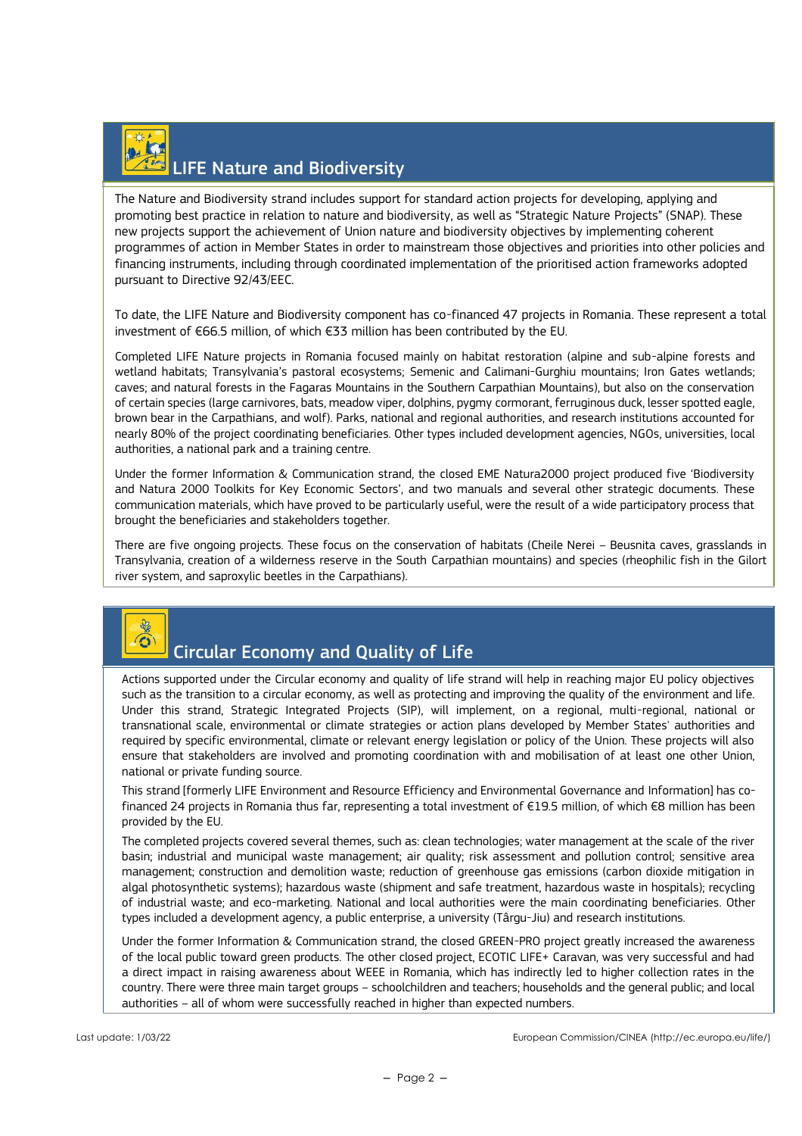# LIFE Nature and Biodiversity

The Nature and Biodiversity strand includes support for standard action projects for developing, applying and promoting best practice in relation to nature and biodiversity, as well as "Strategic Nature Projects" (SNAP). These new projects support the achievement of Union nature and biodiversity objectives by implementing coherent programmes of action in Member States in order to mainstream those objectives and priorities into other policies and financing instruments, including through coordinated implementation of the prioritised action frameworks adopted pursuant to Directive 92/43/EEC.

To date, the LIFE Nature and Biodiversity component has co-financed 47 projects in Romania. These represent a total investment of €66.5 million, of which €33 million has been contributed by the EU.

Completed LIFE Nature projects in Romania focused mainly on habitat restoration (alpine and sub-alpine forests and wetland habitats; Transylvania's pastoral ecosystems; Semenic and Calimani-Gurghiu mountains; Iron Gates wetlands; caves; and natural forests in the Fagaras Mountains in the Southern Carpathian Mountains), but also on the conservation of certain species (large carnivores, bats, meadow viper, dolphins, pygmy cormorant, ferruginous duck, lesser spotted eagle, brown bear in the Carpathians, and wolf). Parks, national and regional authorities, and research institutions accounted for nearly 80% of the project coordinating beneficiaries. Other types included development agencies, NGOs, universities, local authorities, a national park and a training centre.

Under the former Information & Communication strand, the closed EME Natura2000 project produced five 'Biodiversity and Natura 2000 Toolkits for Key Economic Sectors', and two manuals and several other strategic documents. These communication materials, which have proved to be particularly useful, were the result of a wide participatory process that brought the beneficiaries and stakeholders together.

There are five ongoing projects. These focus on the conservation of habitats (Cheile Nerei – Beusnita caves, grasslands in Transylvania, creation of a wilderness reserve in the South Carpathian mountains) and species (rheophilic fish in the Gilort river system, and saproxylic beetles in the Carpathians).



#### Circular Economy and Quality of Life

Actions supported under the Circular economy and quality of life strand will help in reaching major EU policy objectives such as the transition to a circular economy, as well as protecting and improving the quality of the environment and life. Under this strand, Strategic Integrated Projects (SIP), will implement, on a regional, multi-regional, national or transnational scale, environmental or climate strategies or action plans developed by Member States' authorities and required by specific environmental, climate or relevant energy legislation or policy of the Union. These projects will also ensure that stakeholders are involved and promoting coordination with and mobilisation of at least one other Union, national or private funding source.

This strand [formerly LIFE Environment and Resource Efficiency and Environmental Governance and Information] has cofinanced 24 projects in Romania thus far, representing a total investment of €19.5 million, of which €8 million has been provided by the EU.

The completed projects covered several themes, such as: clean technologies; water management at the scale of the river basin; industrial and municipal waste management; air quality; risk assessment and pollution control; sensitive area management; construction and demolition waste; reduction of greenhouse gas emissions (carbon dioxide mitigation in algal photosynthetic systems); hazardous waste (shipment and safe treatment, hazardous waste in hospitals); recycling of industrial waste; and eco-marketing. National and local authorities were the main coordinating beneficiaries. Other types included a development agency, a public enterprise, a university (Târgu-Jiu) and research institutions.

Under the former Information & Communication strand, the closed GREEN-PRO project greatly increased the awareness of the local public toward green products. The other closed project, ECOTIC LIFE+ Caravan, was very successful and had a direct impact in raising awareness about WEEE in Romania, which has indirectly led to higher collection rates in the country. There were three main target groups – schoolchildren and teachers; households and the general public; and local authorities – all of whom were successfully reached in higher than expected numbers.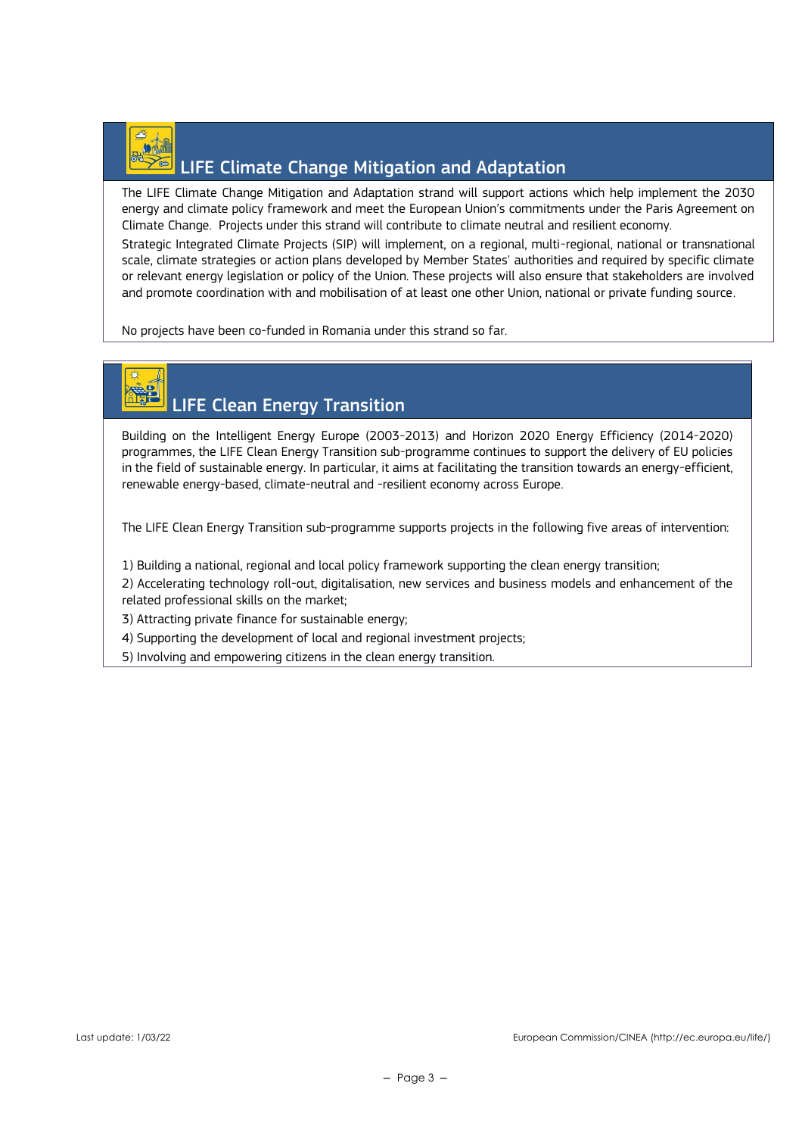

### LIFE Climate Change Mitigation and Adaptation

The LIFE Climate Change Mitigation and Adaptation strand will support actions which help implement the 2030 energy and climate policy framework and meet the European Union's commitments under the Paris Agreement on Climate Change. Projects under this strand will contribute to climate neutral and resilient economy.

Strategic Integrated Climate Projects (SIP) will implement, on a regional, multi-regional, national or transnational scale, climate strategies or action plans developed by Member States' authorities and required by specific climate or relevant energy legislation or policy of the Union. These projects will also ensure that stakeholders are involved and promote coordination with and mobilisation of at least one other Union, national or private funding source.

No projects have been co-funded in Romania under this strand so far.

# LIFE Clean Energy Transition

Building on the Intelligent Energy Europe (2003-2013) and Horizon 2020 Energy Efficiency (2014-2020) programmes, the LIFE Clean Energy Transition sub-programme continues to support the delivery of EU policies in the field of sustainable energy. In particular, it aims at facilitating the transition towards an energy-efficient, renewable energy-based, climate-neutral and -resilient economy across Europe.

The LIFE Clean Energy Transition sub-programme supports projects in the following five areas of intervention:

1) Building a national, regional and local policy framework supporting the clean energy transition;

2) Accelerating technology roll-out, digitalisation, new services and business models and enhancement of the related professional skills on the market;

3) Attracting private finance for sustainable energy;

4) Supporting the development of local and regional investment projects;

5) Involving and empowering citizens in the clean energy transition.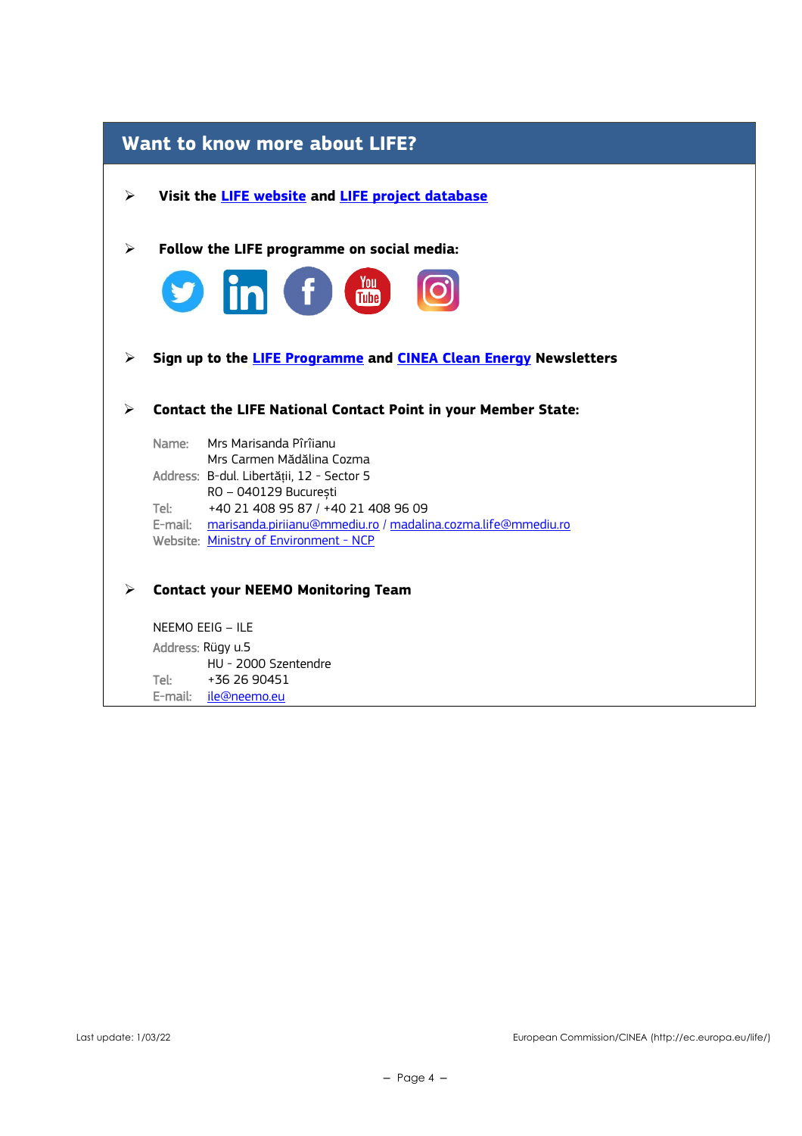## **Want to know more about LIFE?** ➢ **Visit the [LIFE website](https://cinea.ec.europa.eu/life_en) and [LIFE project database](https://webgate.ec.europa.eu/life/publicWebsite/search)** ➢ **Follow the LIFE programme on social media:** <u>You</u> **Tube** ➢ **Sign up to the [LIFE Programme](https://ec.europa.eu/newsroom/cinea/user-subscriptions/2183/create) and [CINEA Clean Energy](https://ec.europa.eu/newsroom/cinea/user-subscriptions/2180/create) Newsletters**  ➢ **Contact the LIFE National Contact Point in your Member State:** Name: Mrs Marisanda Pîrîianu Mrs Carmen Mădălina Cozma Address: B-dul. Libertății, 12 - Sector 5 RO – 040129 București<br>Tel: +40 21 408 95 87 / +4 +40 21 408 95 87 / +40 21 408 96 09 E-mail: [marisanda.piriianu@mmediu.ro](mailto:marisanda.piriianu@mmediu.ro) / madalina.cozma.life@mmediu.ro Website: [Ministry of Environment -](http://www.mmediu.ro/categorie/life/87) NCP ➢ **Contact your NEEMO Monitoring Team** NEEMO EEIG – ILE Address: Rügy u.5

HU - 2000 Szentendre Tel: +36 26 90451 E-mail: [ile@neemo.eu](mailto:ile@neemo.eu)